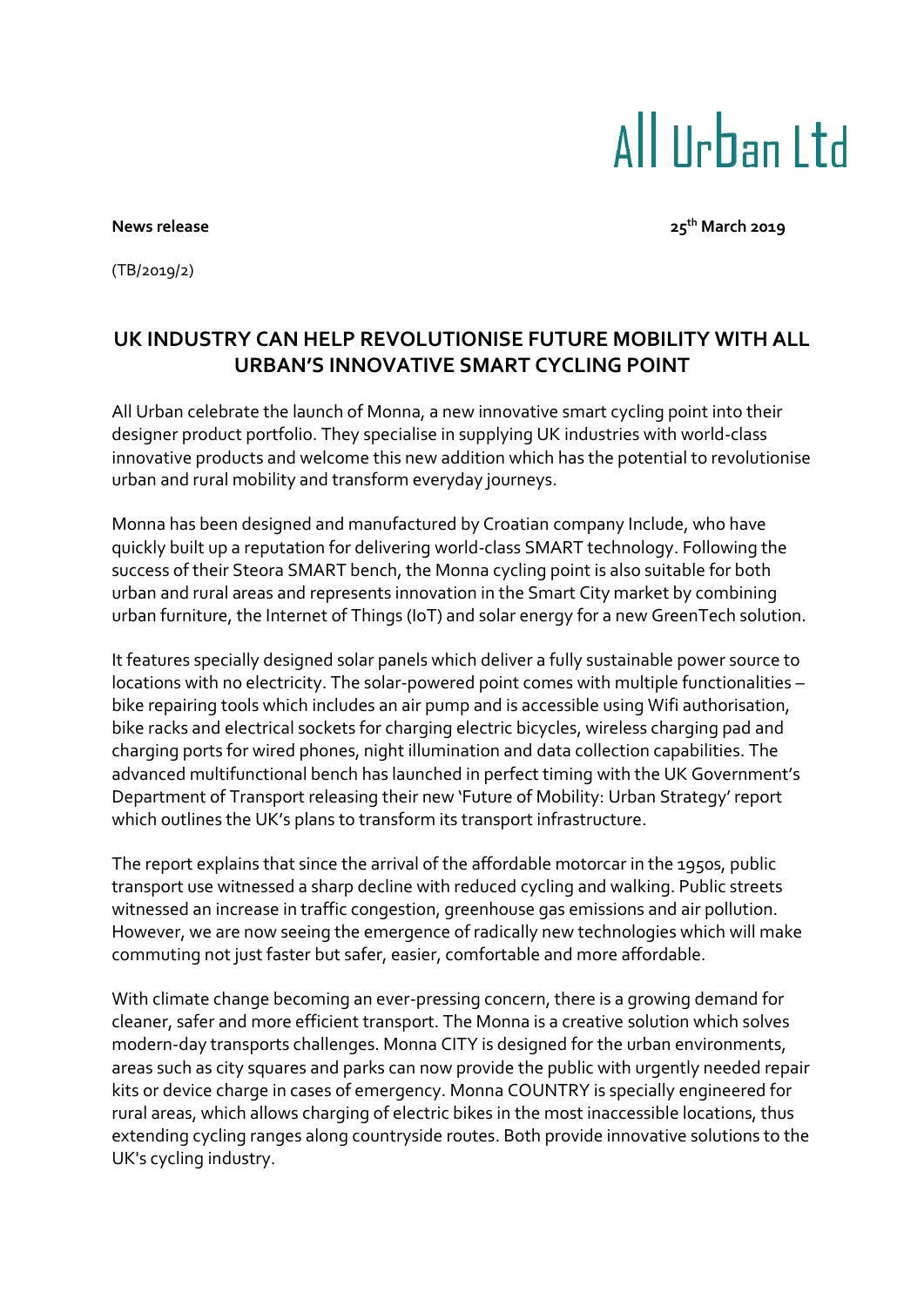# All IIrban I td

**News release 25th March 2019**

(TB/2019/2)

# **UK INDUSTRY CAN HELP REVOLUTIONISE FUTURE MOBILITY WITH ALL URBAN'S INNOVATIVE SMART CYCLING POINT**

All Urban celebrate the launch of Monna, a new innovative smart cycling point into their designer product portfolio. They specialise in supplying UK industries with world-class innovative products and welcome this new addition which has the potential to revolutionise urban and rural mobility and transform everyday journeys.

Monna has been designed and manufactured by Croatian company Include, who have quickly built up a reputation for delivering world-class SMART technology. Following the success of their Steora SMART bench, the Monna cycling point is also suitable for both urban and rural areas and represents innovation in the Smart City market by combining urban furniture, the Internet of Things (IoT) and solar energy for a new GreenTech solution.

It features specially designed solar panels which deliver a fully sustainable power source to locations with no electricity. The solar-powered point comes with multiple functionalities – bike repairing tools which includes an air pump and is accessible using Wifi authorisation, bike racks and electrical sockets for charging electric bicycles, wireless charging pad and charging ports for wired phones, night illumination and data collection capabilities. The advanced multifunctional bench has launched in perfect timing with the UK Government's Department of Transport releasing their new 'Future of Mobility: Urban Strategy' report which outlines the UK's plans to transform its transport infrastructure.

The report explains that since the arrival of the affordable motorcar in the 1950s, public transport use witnessed a sharp decline with reduced cycling and walking. Public streets witnessed an increase in traffic congestion, greenhouse gas emissions and air pollution. However, we are now seeing the emergence of radically new technologies which will make commuting not just faster but safer, easier, comfortable and more affordable.

With climate change becoming an ever-pressing concern, there is a growing demand for cleaner, safer and more efficient transport. The Monna is a creative solution which solves modern-day transports challenges. Monna CITY is designed for the urban environments, areas such as city squares and parks can now provide the public with urgently needed repair kits or device charge in cases of emergency. Monna COUNTRY is specially engineered for rural areas, which allows charging of electric bikes in the most inaccessible locations, thus extending cycling ranges along countryside routes. Both provide innovative solutions to the UK's cycling industry.